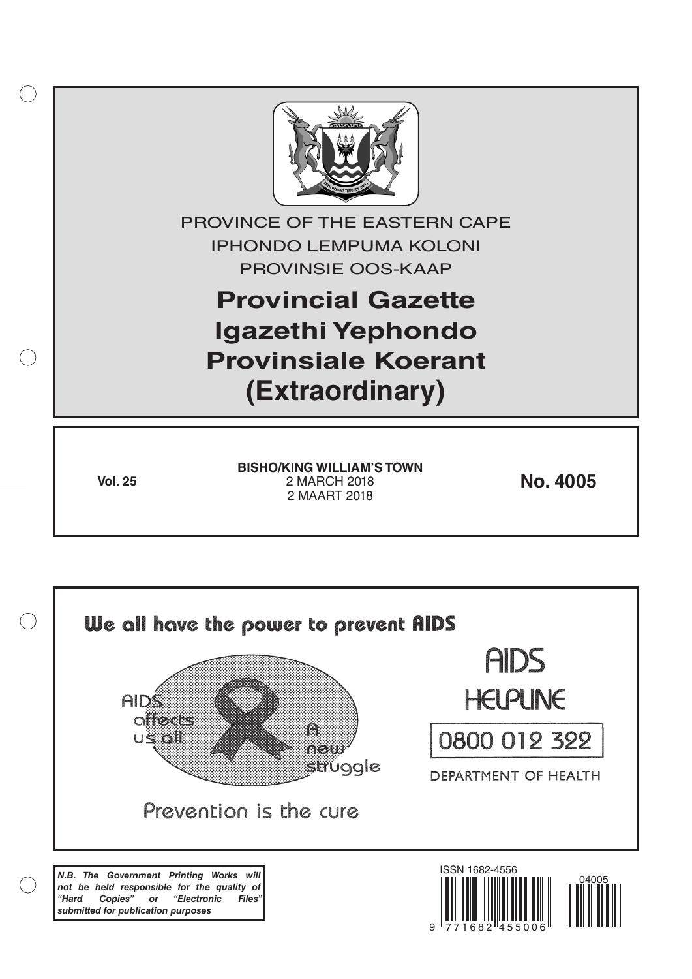

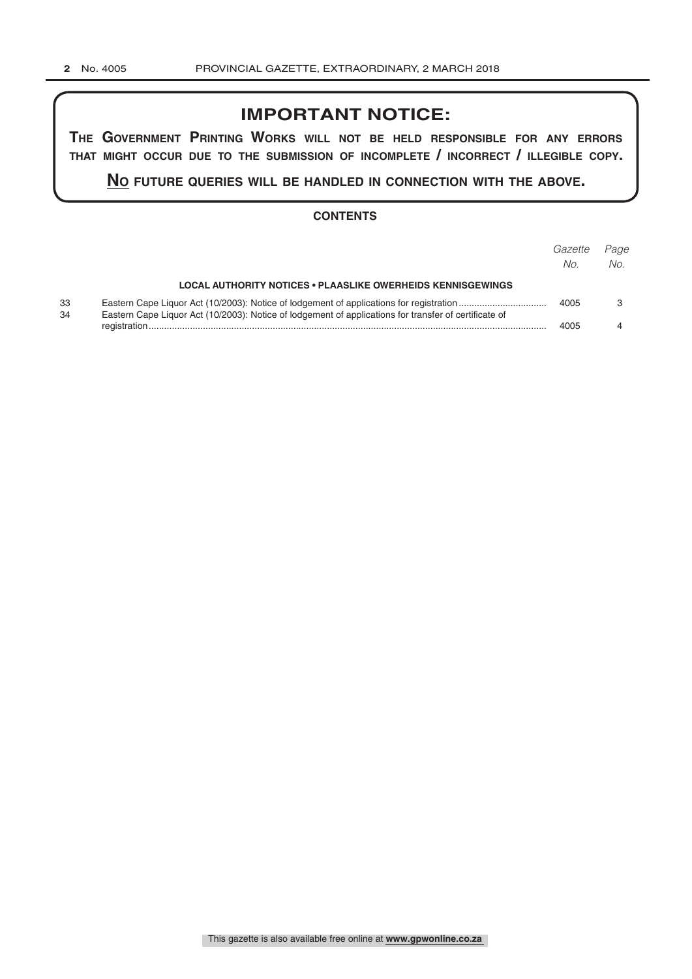## **IMPORTANT NOTICE:**

**The GovernmenT PrinTinG Works Will noT be held resPonsible for any errors ThaT miGhT occur due To The submission of incomPleTe / incorrecT / illeGible coPy.**

**no fuTure queries Will be handled in connecTion WiTh The above.**

## **CONTENTS**

|          |                                                                                                       | Gazette<br>No. | Page<br>No. |
|----------|-------------------------------------------------------------------------------------------------------|----------------|-------------|
|          | <b>LOCAL AUTHORITY NOTICES • PLAASLIKE OWERHEIDS KENNISGEWINGS</b>                                    |                |             |
| 33<br>34 | Eastern Cape Liquor Act (10/2003): Notice of lodgement of applications for transfer of certificate of | 4005           |             |
|          |                                                                                                       | 4005           |             |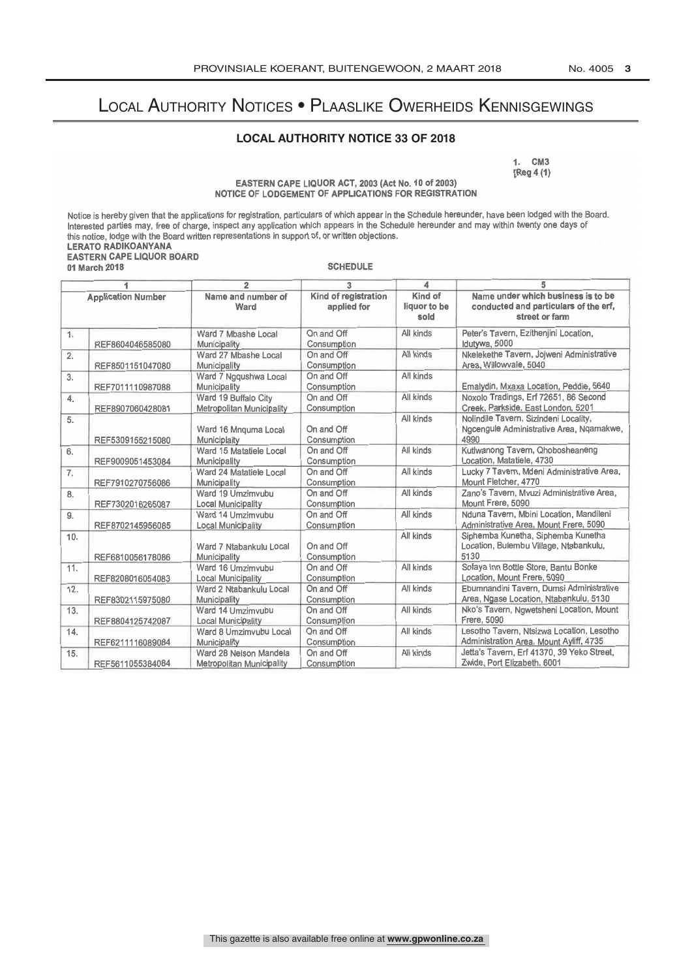# Local Authority Notices • Plaaslike Owerheids Kennisgewings

## **LOCAL AUTHORITY NOTICE 33 OF 2018**

 $1. \, \text{C}$  CM3

 $[rad + 1]$ 

EASTERN CAPE LIQUOR ACT, 2003 (Act No. 10 of 2003) NOTICE OF LODGEMENT OF APPLICATIONS FOR REGISTRATION

Notice is hereby given that the applications for registration, particulars of which appear in the Schedule hereunder, have been lodged with the Board. Interested parties may, free of charge, inspect any application which appears in the Schedule hereunder and may within twenty one days of this notice, lodge with the Board written representations in support of, or written objections. LERATO RADIKOANYANA EASTERN CAPE LIQUOR BOARD 01 March 2018 **SCHEDULE** 

|     | 1                         | $\overline{2}$                                      | 3                                   | 4                               | 5                                                                                             |
|-----|---------------------------|-----------------------------------------------------|-------------------------------------|---------------------------------|-----------------------------------------------------------------------------------------------|
|     | <b>Application Number</b> | Name and number of<br>Ward                          | Kind of registration<br>applied for | Kind of<br>liquor to be<br>sold | Name under which business is to be<br>conducted and particulars of the erf,<br>street or farm |
| 1.1 | REF8604046585080          | Ward 7 Mbashe Local<br>Municipality                 | On and Off<br>Consumption           | All kinds                       | Peter's Tavern, Ezithenjini Location,<br>Idutywa, 5000                                        |
| 2.  | REF8501151047080          | Ward 27 Mbashe Local<br>Municipality                | On and Off<br>Consumption           | All kinds                       | Nkelekethe Tavern, Jojweni Administrative<br>Area, Willowvale, 5040                           |
| 3.  | REF7011110987088          | Ward 7 Ngqushwa Local<br><b>Municipality</b>        | On and Off<br>Consumption           | All kinds                       | Emalydin, Mxaxa Location, Peddie, 5640                                                        |
| 4.  | REF8907060428081          | Ward 19 Buffalo City<br>Metropolitan Municipality   | On and Off<br>Consumption           | All kinds                       | Noxolo Tradings, Erf 72651, 86 Second<br>Creek, Parkside, East London, 5201                   |
| 5.  | REF5309155215080          | Ward 16 Mnguma Local<br>Municiplaity                | On and Off<br>Consumption           | All kinds                       | Nolindile Tavern, Sizindeni Locality,<br>Ngcengule Administrative Area, Ngamakwe,<br>4990     |
| 6.  | REF9009051453084          | Ward 15 Matatiele Local<br>Municipality             | On and Off<br>Consumption           | All kinds                       | Kutlwanong Tavern, Qhobosheaneng<br>Location, Matatiele, 4730                                 |
| 7.  | REF7910270756086          | Ward 24 Matatiele Local<br>Municipality             | On and Off<br>Consumption           | All kinds                       | Lucky 7 Tavern, Mdeni Administrative Area,<br>Mount Fletcher, 4770                            |
| 8.  | REF7302016265087          | Ward 19 Umzimvubu<br><b>Local Municipality</b>      | On and Off<br>Consumption           | All kinds                       | Zano's Tavern, Myuzi Administrative Area,<br>Mount Frere, 5090                                |
| 9.  | REF8702145956085          | Ward 14 Umzimvubu<br><b>Local Municipality</b>      | On and Off<br>Consumption           | All kinds                       | Nduna Tavern, Mbini Location, Mandileni<br>Administrative Area, Mount Frere, 5090             |
| 10. | REF6810056178086          | Ward 7 Ntabankulu Local<br>Municipality             | On and Off<br>Consumption           | All kinds                       | Siphemba Kunetha, Siphemba Kunetha<br>Location, Bulembu Village, Ntabankulu,<br>5130          |
| 11. | REF8208016054083          | Ward 16 Umzimvubu<br><b>Local Municipality</b>      | On and Off<br>Consumption           | All kinds                       | Sofaya Inn Bottle Store, Bantu Bonke<br>Location, Mount Frere, 5090                           |
| 12. | REF8302115975080          | Ward 2 Ntabankulu Local<br>Municipality             | On and Off<br>Consumption           | All kinds                       | Ebumnandini Tavern, Dumsi Administrative<br>Area, Ngase Location, Ntabankulu, 5130            |
| 13. | REF8804125742087          | Ward 14 Umzimvubu<br><b>Local Municipality</b>      | On and Off<br>Consumption           | All kinds                       | Nko's Tavern, Ngwetsheni Location, Mount<br>Frere, 5090                                       |
| 14. | REF6211116089084          | Ward 8 Umzimvubu Local<br>Municipality              | On and Off<br>Consumption           | All kinds                       | Lesotho Tavern, Ntsizwa Location, Lesotho<br>Administration Area, Mount Ayliff, 4735          |
| 15. | REF5611055384084          | Ward 28 Nelson Mandela<br>Metropolitan Municipality | On and Off<br>Consumption           | All kinds                       | Jetta's Tavern, Erf 41370, 39 Yeko Street,<br>Zwide, Port Elizabeth, 6001                     |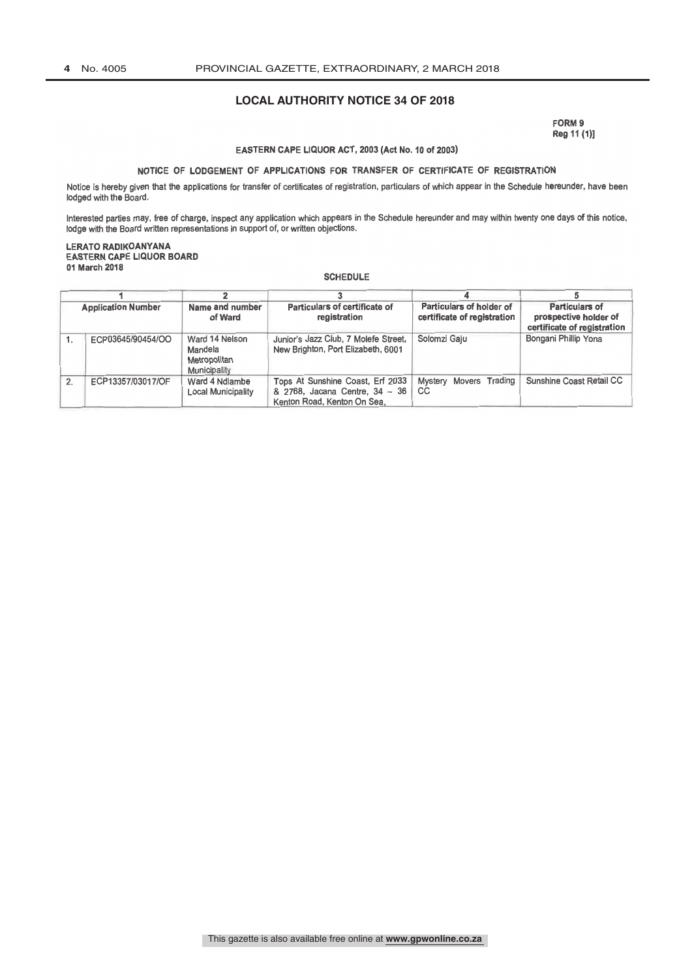### **LOCAL AUTHORITY NOTICE 34 OF 2018**

r wisin w<br>Benedd fall Reg 11 (1)]

#### EASTERN CAPE LIQUOR ACT, 2003 (Act No. 10 of 2003)

#### NOTICE OF LODGEMENT OF APPLICATIONS FOR TRANSFER OF CERTIFICATE OF REGISTRATION

Notice is hereby given that the applications for transfer of certificates of registration, particulars of which appear in the Schedule hereunder, have been lodged with the Board.

Interested parties may, free of charge, inspect any application which appears in the Schedule hereunder and may within twenty one days of this notice, lodge with the Board written representations in support of, or written objections.

LERATO RADIKOANYANA EASTERN CAPE LIQUOR BOARD 01 March 2018

**SCHEDULE** 

| <b>Application Number</b> |                   |                                                           |                                                                                                   |                                                         |                                                                               |
|---------------------------|-------------------|-----------------------------------------------------------|---------------------------------------------------------------------------------------------------|---------------------------------------------------------|-------------------------------------------------------------------------------|
|                           |                   | Name and number<br>of Ward                                | Particulars of certificate of<br>registration                                                     | Particulars of holder of<br>certificate of registration | <b>Particulars of</b><br>prospective holder of<br>certificate of registration |
|                           | ECP03645/90454/OO | Ward 14 Nelson<br>Mandela<br>Metropolitan<br>Municipality | Junior's Jazz Club, 7 Molefe Street,<br>New Brighton, Port Elizabeth, 6001                        | Solomzi Gaju                                            | Bongani Phillip Yona                                                          |
| $\overline{2}$ .          | ECP13357/03017/OF | Ward 4 Ndlambe<br><b>Local Municipality</b>               | Tops At Sunshine Coast, Erf 2033<br>& 2768, Jacana Centre, 34 - 36<br>Kenton Road, Kenton On Sea, | Mystery Movers Trading<br><sub>CC</sub>                 | Sunshine Coast Retail CC                                                      |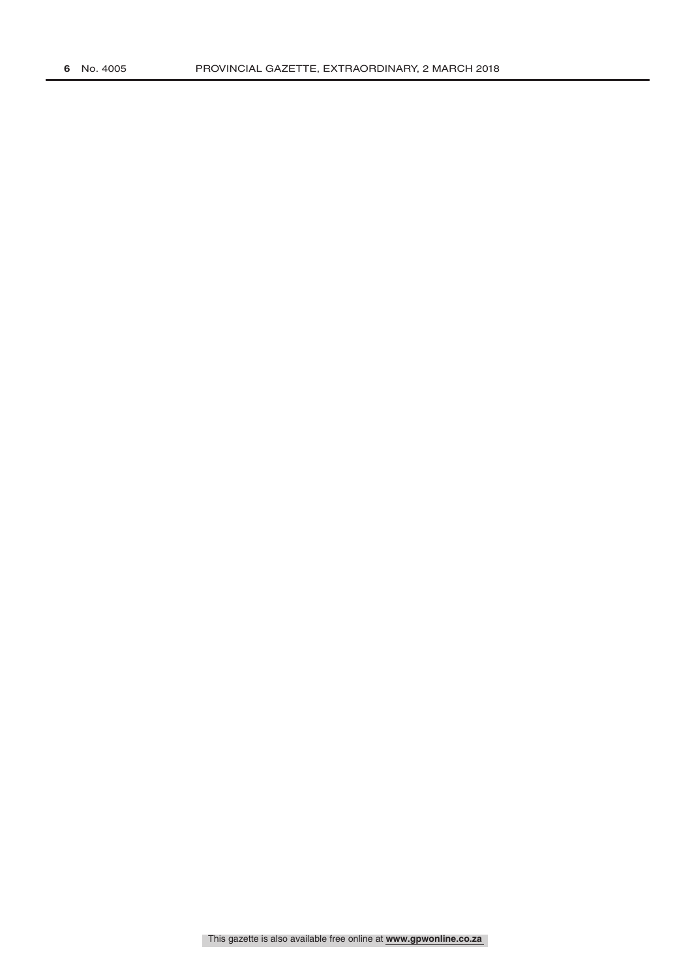This gazette is also available free online at **www.gpwonline.co.za**